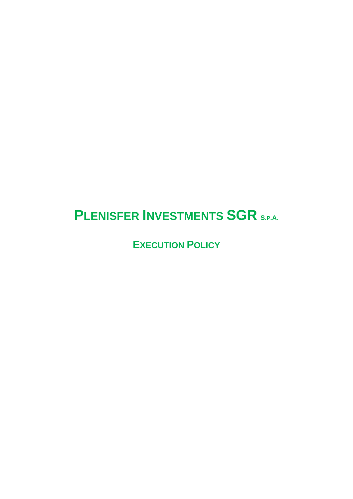# **PLENISFER INVESTMENTS SGR S.P.A.**

**EXECUTION POLICY**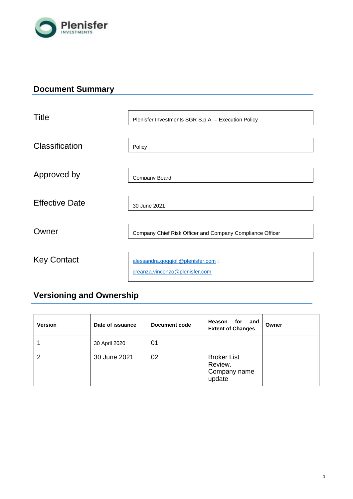

## **Document Summary**

| Title                 | Plenisfer Investments SGR S.p.A. - Execution Policy                  |
|-----------------------|----------------------------------------------------------------------|
| Classification        | Policy                                                               |
| Approved by           | Company Board                                                        |
| <b>Effective Date</b> | 30 June 2021                                                         |
| Owner                 | Company Chief Risk Officer and Company Compliance Officer            |
| <b>Key Contact</b>    | alessandra.goggioli@plenisfer.com;<br>creanza.vincenzo@plenisfer.com |

## **Versioning and Ownership**

| <b>Version</b> | Date of issuance | Document code | Reason<br>for<br>and<br><b>Extent of Changes</b>        | Owner |
|----------------|------------------|---------------|---------------------------------------------------------|-------|
|                | 30 April 2020    | 01            |                                                         |       |
| 2              | 30 June 2021     | 02            | <b>Broker List</b><br>Review.<br>Company name<br>update |       |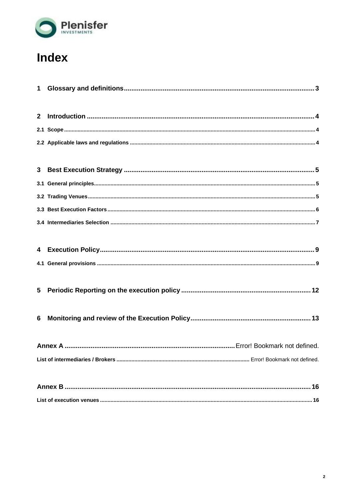

# Index

| 6 |  |
|---|--|
|   |  |
|   |  |
|   |  |
|   |  |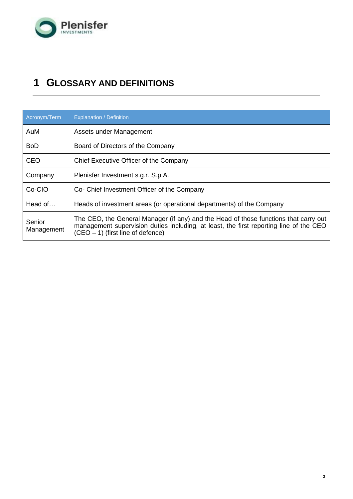

## <span id="page-3-0"></span>**1 GLOSSARY AND DEFINITIONS**

| Acronym/Term         | <b>Explanation / Definition</b>                                                                                                                                                                                       |
|----------------------|-----------------------------------------------------------------------------------------------------------------------------------------------------------------------------------------------------------------------|
| AuM                  | Assets under Management                                                                                                                                                                                               |
| <b>BoD</b>           | Board of Directors of the Company                                                                                                                                                                                     |
| <b>CEO</b>           | Chief Executive Officer of the Company                                                                                                                                                                                |
| Company              | Plenisfer Investment s.g.r. S.p.A.                                                                                                                                                                                    |
| Co-CIO               | Co- Chief Investment Officer of the Company                                                                                                                                                                           |
| Head of              | Heads of investment areas (or operational departments) of the Company                                                                                                                                                 |
| Senior<br>Management | The CEO, the General Manager (if any) and the Head of those functions that carry out<br>management supervision duties including, at least, the first reporting line of the CEO<br>$(CEO - 1)$ (first line of defence) |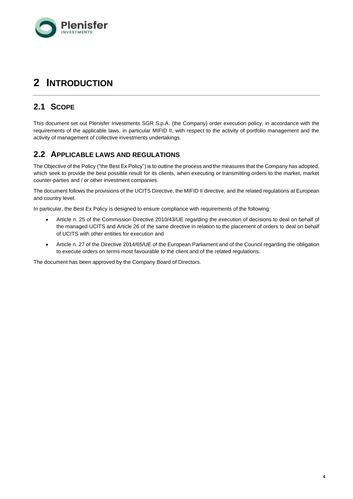

## <span id="page-4-0"></span>**2 INTRODUCTION**

## <span id="page-4-1"></span>**2.1 SCOPE**

This document set out Plenisfer Investments SGR S.p.A. (the Company) order execution policy, in accordance with the requirements of the applicable laws, in particular MIFID II, with respect to the activity of portfolio management and the activity of management of collective investments undertakings.

### <span id="page-4-2"></span>**2.2 APPLICABLE LAWS AND REGULATIONS**

The Objective of the Policy ("the Best Ex Policy") is to outline the process and the measures that the Company has adopted, which seek to provide the best possible result for its clients, when executing or transmitting orders to the market, market counter-parties and / or other investment companies.

The document follows the provisions of the UCITS Directive, the MIFID II directive, and the related regulations at European and country level.

In particular, the Best Ex Policy is designed to ensure compliance with requirements of the following:

- Article n. 25 of the Commission Directive 2010/43/UE regarding the execution of decisions to deal on behalf of the managed UCITS and Article 26 of the same directive in relation to the placement of orders to deal on behalf of UCITS with other entities for execution and
- Article n. 27 of the Directive 2014/65/UE of the European Parliament and of the Council regarding the obligation to execute orders on terms most favourable to the client and of the related regulations.

The document has been approved by the Company Board of Directors.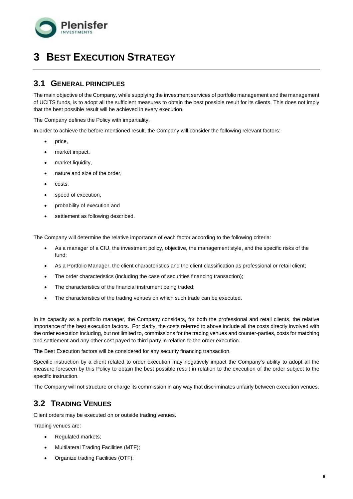

## <span id="page-5-0"></span>**3 BEST EXECUTION STRATEGY**

### <span id="page-5-1"></span>**3.1 GENERAL PRINCIPLES**

The main objective of the Company, while supplying the investment services of portfolio management and the management of UCITS funds, is to adopt all the sufficient measures to obtain the best possible result for its clients. This does not imply that the best possible result will be achieved in every execution.

The Company defines the Policy with impartiality.

In order to achieve the before-mentioned result, the Company will consider the following relevant factors:

- price.
- market impact,
- market liquidity,
- nature and size of the order.
- costs,
- speed of execution.
- probability of execution and
- settlement as following described.

The Company will determine the relative importance of each factor according to the following criteria:

- As a manager of a CIU, the investment policy, objective, the management style, and the specific risks of the fund;
- As a Portfolio Manager, the client characteristics and the client classification as professional or retail client;
- The order characteristics (including the case of securities financing transaction);
- The characteristics of the financial instrument being traded;
- The characteristics of the trading venues on which such trade can be executed.

In its capacity as a portfolio manager, the Company considers, for both the professional and retail clients, the relative importance of the best execution factors. For clarity, the costs referred to above include all the costs directly involved with the order execution including, but not limited to, commissions for the trading venues and counter-parties, costs for matching and settlement and any other cost payed to third party in relation to the order execution.

The Best Execution factors will be considered for any security financing transaction.

Specific instruction by a client related to order execution may negatively impact the Company's ability to adopt all the measure foreseen by this Policy to obtain the best possible result in relation to the execution of the order subject to the specific instruction.

The Company will not structure or charge its commission in any way that discriminates unfairly between execution venues.

## <span id="page-5-2"></span>**3.2 TRADING VENUES**

Client orders may be executed on or outside trading venues.

Trading venues are:

- Regulated markets;
- Multilateral Trading Facilities (MTF);
- Organize trading Facilities (OTF);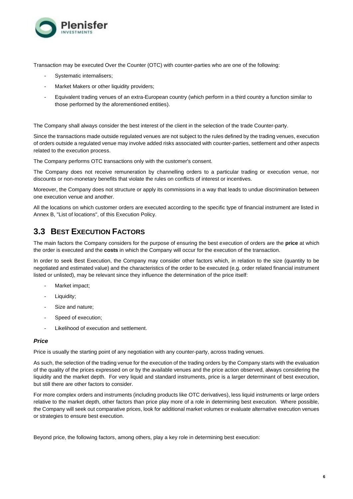

Transaction may be executed Over the Counter (OTC) with counter-parties who are one of the following:

- Systematic internalisers;
- Market Makers or other liquidity providers;
- Equivalent trading venues of an extra-European country (which perform in a third country a function similar to those performed by the aforementioned entities).

The Company shall always consider the best interest of the client in the selection of the trade Counter-party.

Since the transactions made outside regulated venues are not subject to the rules defined by the trading venues, execution of orders outside a regulated venue may involve added risks associated with counter-parties, settlement and other aspects related to the execution process.

The Company performs OTC transactions only with the customer's consent.

The Company does not receive remuneration by channelling orders to a particular trading or execution venue, nor discounts or non-monetary benefits that violate the rules on conflicts of interest or incentives.

Moreover, the Company does not structure or apply its commissions in a way that leads to undue discrimination between one execution venue and another.

All the locations on which customer orders are executed according to the specific type of financial instrument are listed in Annex B, "List of locations", of this Execution Policy.

## <span id="page-6-0"></span>**3.3 BEST EXECUTION FACTORS**

The main factors the Company considers for the purpose of ensuring the best execution of orders are the **price** at which the order is executed and the **costs** in which the Company will occur for the execution of the transaction.

In order to seek Best Execution, the Company may consider other factors which, in relation to the size (quantity to be negotiated and estimated value) and the characteristics of the order to be executed (e.g. order related financial instrument listed or unlisted), may be relevant since they influence the determination of the price itself:

- Market impact;
- Liquidity;
- Size and nature;
- Speed of execution:
- Likelihood of execution and settlement.

#### *Price*

Price is usually the starting point of any negotiation with any counter-party, across trading venues.

As such, the selection of the trading venue for the execution of the trading orders by the Company starts with the evaluation of the quality of the prices expressed on or by the available venues and the price action observed, always considering the liquidity and the market depth. For very liquid and standard instruments, price is a larger determinant of best execution, but still there are other factors to consider.

For more complex orders and instruments (including products like OTC derivatives), less liquid instruments or large orders relative to the market depth, other factors than price play more of a role in determining best execution. Where possible, the Company will seek out comparative prices, look for additional market volumes or evaluate alternative execution venues or strategies to ensure best execution.

Beyond price, the following factors, among others, play a key role in determining best execution: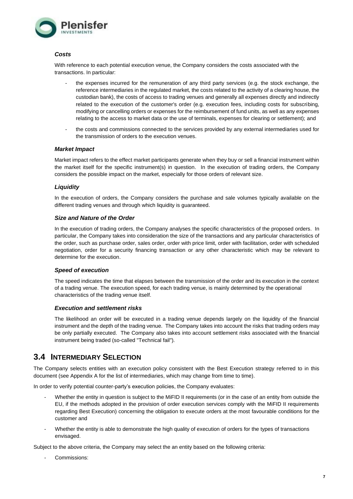

#### *Costs*

With reference to each potential execution venue, the Company considers the costs associated with the transactions. In particular:

- the expenses incurred for the remuneration of any third party services (e.g. the stock exchange, the reference intermediaries in the regulated market, the costs related to the activity of a clearing house, the custodian bank), the costs of access to trading venues and generally all expenses directly and indirectly related to the execution of the customer's order (e.g. execution fees, including costs for subscribing, modifying or cancelling orders or expenses for the reimbursement of fund units, as well as any expenses relating to the access to market data or the use of terminals, expenses for clearing or settlement); and
- the costs and commissions connected to the services provided by any external intermediaries used for the transmission of orders to the execution venues.

#### *Market Impact*

Market impact refers to the effect market participants generate when they buy or sell a financial instrument within the market itself for the specific instrument(s) in question. In the execution of trading orders, the Company considers the possible impact on the market, especially for those orders of relevant size.

#### *Liquidity*

In the execution of orders, the Company considers the purchase and sale volumes typically available on the different trading venues and through which liquidity is guaranteed.

#### *Size and Nature of the Order*

In the execution of trading orders, the Company analyses the specific characteristics of the proposed orders. In particular, the Company takes into consideration the size of the transactions and any particular characteristics of the order, such as purchase order, sales order, order with price limit, order with facilitation, order with scheduled negotiation, order for a security financing transaction or any other characteristic which may be relevant to determine for the execution.

#### *Speed of execution*

The speed indicates the time that elapses between the transmission of the order and its execution in the context of a trading venue. The execution speed, for each trading venue, is mainly determined by the operational characteristics of the trading venue itself.

#### *Execution and settlement risks*

The likelihood an order will be executed in a trading venue depends largely on the liquidity of the financial instrument and the depth of the trading venue. The Company takes into account the risks that trading orders may be only partially executed. The Company also takes into account settlement risks associated with the financial instrument being traded (so-called "Technical fail").

### <span id="page-7-0"></span>**3.4 INTERMEDIARY SELECTION**

The Company selects entities with an execution policy consistent with the Best Execution strategy referred to in this document (see Appendix A for the list of intermediaries, which may change from time to time).

In order to verify potential counter-party's execution policies, the Company evaluates:

- Whether the entity in question is subject to the MiFID II requirements (or in the case of an entity from outside the EU, if the methods adopted in the provision of order execution services comply with the MiFID II requirements regarding Best Execution) concerning the obligation to execute orders at the most favourable conditions for the customer and
- Whether the entity is able to demonstrate the high quality of execution of orders for the types of transactions envisaged.

Subject to the above criteria, the Company may select the an entity based on the following criteria:

Commissions: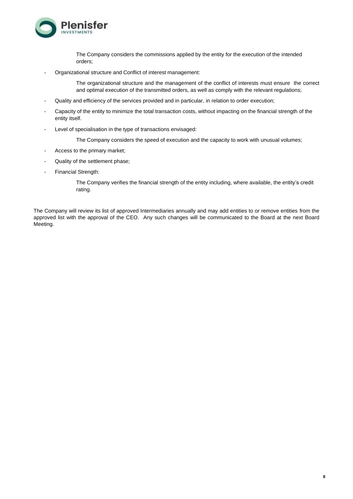

The Company considers the commissions applied by the entity for the execution of the intended orders;

- Organizational structure and Conflict of interest management:

The organizational structure and the management of the conflict of interests must ensure the correct and optimal execution of the transmitted orders, as well as comply with the relevant regulations;

- Quality and efficiency of the services provided and in particular, in relation to order execution;
- Capacity of the entity to minimize the total transaction costs, without impacting on the financial strength of the entity itself.
- Level of specialisation in the type of transactions envisaged:

The Company considers the speed of execution and the capacity to work with unusual volumes;

- Access to the primary market;
- Quality of the settlement phase;
- Financial Strength:

The Company verifies the financial strength of the entity including, where available, the entity's credit rating.

The Company will review its list of approved Intermediaries annually and may add entities to or remove entities from the approved list with the approval of the CEO. Any such changes will be communicated to the Board at the next Board Meeting.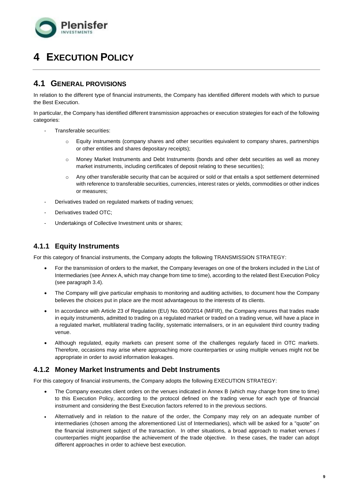

## <span id="page-9-0"></span>**4 EXECUTION POLICY**

### <span id="page-9-1"></span>**4.1 GENERAL PROVISIONS**

In relation to the different type of financial instruments, the Company has identified different models with which to pursue the Best Execution.

In particular, the Company has identified different transmission approaches or execution strategies for each of the following categories:

- Transferable securities:
	- o Equity instruments (company shares and other securities equivalent to company shares, partnerships or other entities and shares depositary receipts);
	- o Money Market Instruments and Debt Instruments (bonds and other debt securities as well as money market instruments, including certificates of deposit relating to these securities);
	- o Any other transferable security that can be acquired or sold or that entails a spot settlement determined with reference to transferable securities, currencies, interest rates or yields, commodities or other indices or measures;
- Derivatives traded on regulated markets of trading venues:
- Derivatives traded OTC;
- Undertakings of Collective Investment units or shares;

### **4.1.1 Equity Instruments**

For this category of financial instruments, the Company adopts the following TRANSMISSION STRATEGY:

- For the transmission of orders to the market, the Company leverages on one of the brokers included in the List of Intermediaries (see Annex A, which may change from time to time), according to the related Best Execution Policy (see paragraph 3.4).
- The Company will give particular emphasis to monitoring and auditing activities, to document how the Company believes the choices put in place are the most advantageous to the interests of its clients.
- In accordance with Article 23 of Regulation (EU) No. 600/2014 (MiFIR), the Company ensures that trades made in equity instruments, admitted to trading on a regulated market or traded on a trading venue, will have a place in a regulated market, multilateral trading facility, systematic internalisers, or in an equivalent third country trading venue.
- Although regulated, equity markets can present some of the challenges regularly faced in OTC markets. Therefore, occasions may arise where approaching more counterparties or using multiple venues might not be appropriate in order to avoid information leakages.

### **4.1.2 Money Market Instruments and Debt Instruments**

For this category of financial instruments, the Company adopts the following EXECUTION STRATEGY:

- The Company executes client orders on the venues indicated in Annex B (which may change from time to time) to this Execution Policy, according to the protocol defined on the trading venue for each type of financial instrument and considering the Best Execution factors referred to in the previous sections.
- Alternatively and in relation to the nature of the order, the Company may rely on an adequate number of intermediaries (chosen among the aforementioned List of Intermediaries), which will be asked for a "quote" on the financial instrument subject of the transaction. In other situations, a broad approach to market venues / counterparties might jeopardise the achievement of the trade objective. In these cases, the trader can adopt different approaches in order to achieve best execution.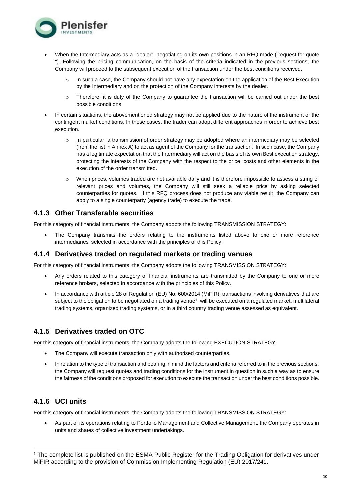

- When the Intermediary acts as a "dealer", negotiating on its own positions in an RFQ mode ("request for quote "). Following the pricing communication, on the basis of the criteria indicated in the previous sections, the Company will proceed to the subsequent execution of the transaction under the best conditions received.
	- In such a case, the Company should not have any expectation on the application of the Best Execution by the Intermediary and on the protection of the Company interests by the dealer.
	- o Therefore, it is duty of the Company to guarantee the transaction will be carried out under the best possible conditions.
- In certain situations, the abovementioned strategy may not be applied due to the nature of the instrument or the contingent market conditions. In these cases, the trader can adopt different approaches in order to achieve best execution.
	- $\circ$  In particular, a transmission of order strategy may be adopted where an intermediary may be selected (from the list in Annex A) to act as agent of the Company for the transaction. In such case, the Company has a legitimate expectation that the Intermediary will act on the basis of its own Best execution strategy, protecting the interests of the Company with the respect to the price, costs and other elements in the execution of the order transmitted.
	- o When prices, volumes traded are not available daily and it is therefore impossible to assess a string of relevant prices and volumes, the Company will still seek a reliable price by asking selected counterparties for quotes. If this RFQ process does not produce any viable result, the Company can apply to a single counterparty (agency trade) to execute the trade.

### **4.1.3 Other Transferable securities**

For this category of financial instruments, the Company adopts the following TRANSMISSION STRATEGY:

The Company transmits the orders relating to the instruments listed above to one or more reference intermediaries, selected in accordance with the principles of this Policy.

#### **4.1.4 Derivatives traded on regulated markets or trading venues**

For this category of financial instruments, the Company adopts the following TRANSMISSION STRATEGY:

- Any orders related to this category of financial instruments are transmitted by the Company to one or more reference brokers, selected in accordance with the principles of this Policy.
- In accordance with article 28 of Regulation (EU) No. 600/2014 (MiFIR), transactions involving derivatives that are subject to the obligation to be negotiated on a trading venue<sup>1</sup>, will be executed on a regulated market, multilateral trading systems, organized trading systems, or in a third country trading venue assessed as equivalent.

### **4.1.5 Derivatives traded on OTC**

For this category of financial instruments, the Company adopts the following EXECUTION STRATEGY:

- The Company will execute transaction only with authorised counterparties.
- In relation to the type of transaction and bearing in mind the factors and criteria referred to in the previous sections, the Company will request quotes and trading conditions for the instrument in question in such a way as to ensure the fairness of the conditions proposed for execution to execute the transaction under the best conditions possible.

### **4.1.6 UCI units**

For this category of financial instruments, the Company adopts the following TRANSMISSION STRATEGY:

• As part of its operations relating to Portfolio Management and Collective Management, the Company operates in units and shares of collective investment undertakings.

<sup>1</sup> The complete list is published on the ESMA Public Register for the Trading Obligation for derivatives under MiFIR according to the provision of Commission Implementing Regulation (EU) 2017/241.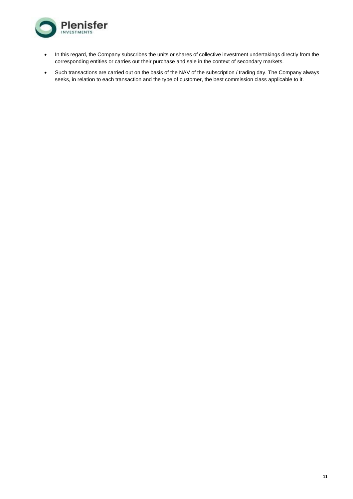

- In this regard, the Company subscribes the units or shares of collective investment undertakings directly from the corresponding entities or carries out their purchase and sale in the context of secondary markets.
- Such transactions are carried out on the basis of the NAV of the subscription / trading day. The Company always seeks, in relation to each transaction and the type of customer, the best commission class applicable to it.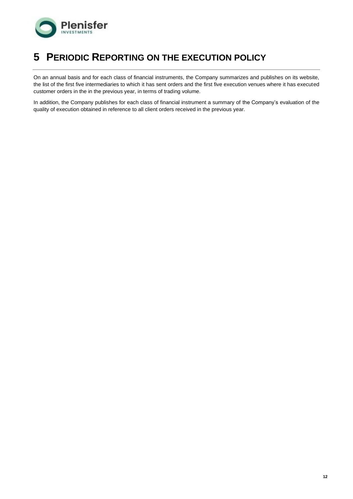

## <span id="page-12-0"></span>**5 PERIODIC REPORTING ON THE EXECUTION POLICY**

On an annual basis and for each class of financial instruments, the Company summarizes and publishes on its website, the list of the first five intermediaries to which it has sent orders and the first five execution venues where it has executed customer orders in the in the previous year, in terms of trading volume.

In addition, the Company publishes for each class of financial instrument a summary of the Company's evaluation of the quality of execution obtained in reference to all client orders received in the previous year.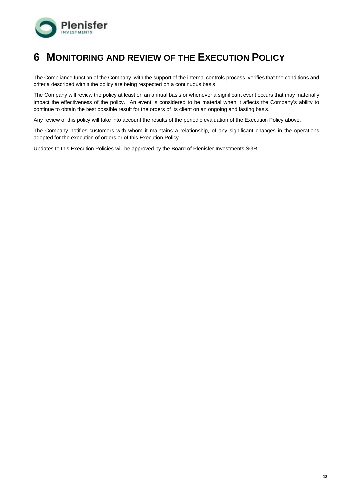

## <span id="page-13-0"></span>**6 MONITORING AND REVIEW OF THE EXECUTION POLICY**

The Compliance function of the Company, with the support of the internal controls process, verifies that the conditions and criteria described within the policy are being respected on a continuous basis.

The Company will review the policy at least on an annual basis or whenever a significant event occurs that may materially impact the effectiveness of the policy. An event is considered to be material when it affects the Company's ability to continue to obtain the best possible result for the orders of its client on an ongoing and lasting basis.

Any review of this policy will take into account the results of the periodic evaluation of the Execution Policy above.

The Company notifies customers with whom it maintains a relationship, of any significant changes in the operations adopted for the execution of orders or of this Execution Policy.

Updates to this Execution Policies will be approved by the Board of Plenisfer Investments SGR.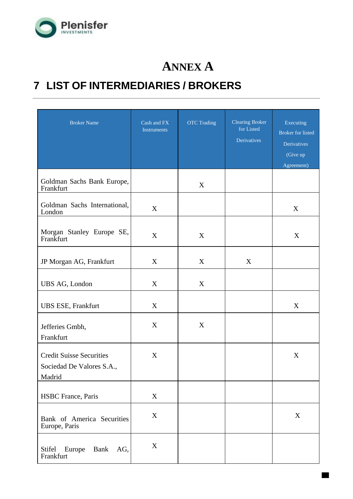

# **ANNEX A**

# **7 LIST OF INTERMEDIARIES / BROKERS**

| <b>Broker Name</b>                                                     | Cash and FX<br><b>Instruments</b> | <b>OTC</b> Trading | <b>Clearing Broker</b><br>for Listed<br><b>Derivatives</b> | Executing<br><b>Broker</b> for listed<br>Derivatives<br>(Give up<br>Agreement) |
|------------------------------------------------------------------------|-----------------------------------|--------------------|------------------------------------------------------------|--------------------------------------------------------------------------------|
| Goldman Sachs Bank Europe,<br>Frankfurt                                |                                   | X                  |                                                            |                                                                                |
| Goldman Sachs International,<br>London                                 | X                                 |                    |                                                            | X                                                                              |
| Morgan Stanley Europe SE,<br>Frankfurt                                 | X                                 | X                  |                                                            | X                                                                              |
| JP Morgan AG, Frankfurt                                                | X                                 | X                  | X                                                          |                                                                                |
| UBS AG, London                                                         | X                                 | X                  |                                                            |                                                                                |
| <b>UBS ESE, Frankfurt</b>                                              | X                                 |                    |                                                            | X                                                                              |
| Jefferies Gmbh,<br>Frankfurt                                           | X                                 | X                  |                                                            |                                                                                |
| <b>Credit Suisse Securities</b><br>Sociedad De Valores S.A.,<br>Madrid | X                                 |                    |                                                            | X                                                                              |
| <b>HSBC</b> France, Paris                                              | X                                 |                    |                                                            |                                                                                |
| Bank of America Securities<br>Europe, Paris                            | X                                 |                    |                                                            | X                                                                              |
| Stifel<br>Europe<br>Bank<br>AG,<br>Frankfurt                           | X                                 |                    |                                                            |                                                                                |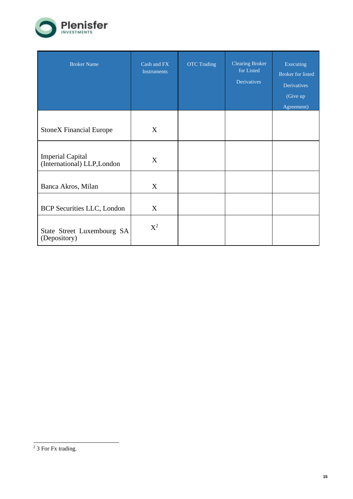

| <b>Broker Name</b>                                     | Cash and FX<br><b>Instruments</b> | <b>OTC Trading</b> | <b>Clearing Broker</b><br>for Listed<br><b>Derivatives</b> | Executing<br><b>Broker</b> for listed<br><b>Derivatives</b><br>(Give up<br>Agreement) |
|--------------------------------------------------------|-----------------------------------|--------------------|------------------------------------------------------------|---------------------------------------------------------------------------------------|
|                                                        |                                   |                    |                                                            |                                                                                       |
| <b>StoneX Financial Europe</b>                         | X                                 |                    |                                                            |                                                                                       |
|                                                        |                                   |                    |                                                            |                                                                                       |
| <b>Imperial Capital</b><br>(International) LLP, London | X                                 |                    |                                                            |                                                                                       |
|                                                        |                                   |                    |                                                            |                                                                                       |
| Banca Akros, Milan                                     | X                                 |                    |                                                            |                                                                                       |
| <b>BCP</b> Securities LLC, London                      | X                                 |                    |                                                            |                                                                                       |
| State Street Luxembourg SA<br>(Depository)             | $X^2$                             |                    |                                                            |                                                                                       |

 $2$  3 For Fx trading.